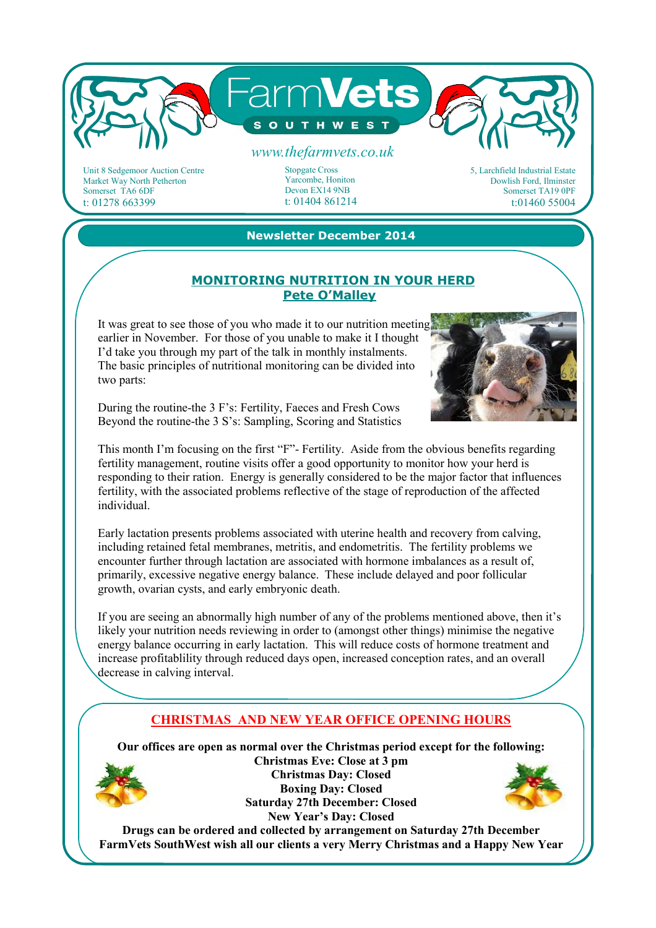

Unit 8 Sedgemoor Auction Centre Market Way North Petherton Somerset TA6 6DF t: 01278 663399

### Stopgate Cross Yarcombe, Honiton

Devon EX14 9NB t: 01404 861214 5, Larchfield Industrial Estate Dowlish Ford, Ilminster Somerset TA19 0PF t:01460 55004

### **Newsletter December 2014**

#### **MONITORING NUTRITION IN YOUR HERD Pete O'Malley**

It was great to see those of you who made it to our nutrition meeting earlier in November. For those of you unable to make it I thought I'd take you through my part of the talk in monthly instalments. The basic principles of nutritional monitoring can be divided into two parts:



During the routine-the 3 F's: Fertility, Faeces and Fresh Cows Beyond the routine-the 3 S's: Sampling, Scoring and Statistics

This month I'm focusing on the first "F"- Fertility. Aside from the obvious benefits regarding fertility management, routine visits offer a good opportunity to monitor how your herd is responding to their ration. Energy is generally considered to be the major factor that influences fertility, with the associated problems reflective of the stage of reproduction of the affected individual.

Early lactation presents problems associated with uterine health and recovery from calving, including retained fetal membranes, metritis, and endometritis. The fertility problems we encounter further through lactation are associated with hormone imbalances as a result of, primarily, excessive negative energy balance. These include delayed and poor follicular growth, ovarian cysts, and early embryonic death.

If you are seeing an abnormally high number of any of the problems mentioned above, then it's likely your nutrition needs reviewing in order to (amongst other things) minimise the negative energy balance occurring in early lactation. This will reduce costs of hormone treatment and increase profitablility through reduced days open, increased conception rates, and an overall decrease in calving interval.

# **CHRISTMAS AND NEW YEAR OFFICE OPENING HOURS**

**Our offices are open as normal over the Christmas period except for the following:** 



**Christmas Eve: Close at 3 pm Christmas Day: Closed Boxing Day: Closed Saturday 27th December: Closed New Year's Day: Closed** 



**Drugs can be ordered and collected by arrangement on Saturday 27th December FarmVets SouthWest wish all our clients a very Merry Christmas and a Happy New Year**